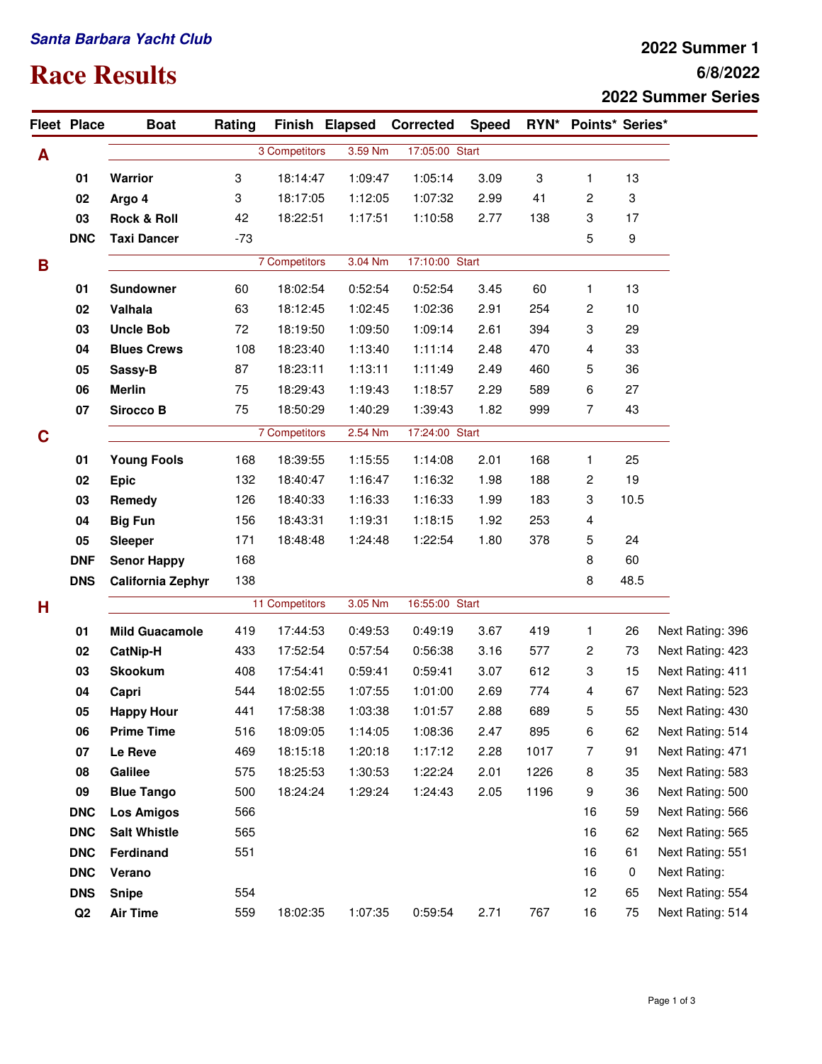## **Santa Barbara Yacht Club**

## **Race Results**

## **6/8/2022 2022 Summer 1 2022 Summer Series**

|   | <b>Fleet Place</b> | <b>Boat</b>              | Rating |                |         | Finish Elapsed Corrected | <b>Speed</b>   |                           | RYN* Points* Series* |      |                     |
|---|--------------------|--------------------------|--------|----------------|---------|--------------------------|----------------|---------------------------|----------------------|------|---------------------|
| A |                    |                          |        | 3 Competitors  | 3.59 Nm | 17:05:00 Start           |                |                           |                      |      |                     |
|   | 01                 | Warrior                  | 3      | 18:14:47       | 1:09:47 | 1:05:14                  | 3.09           | $\ensuremath{\mathsf{3}}$ | $\mathbf{1}$         | 13   |                     |
|   | 02                 | Argo 4                   | 3      | 18:17:05       | 1:12:05 | 1:07:32                  | 2.99           | 41                        | 2                    | 3    |                     |
|   | 03                 | <b>Rock &amp; Roll</b>   | 42     | 18:22:51       | 1:17:51 | 1:10:58                  | 2.77           | 138                       | 3                    | 17   |                     |
|   | <b>DNC</b>         | <b>Taxi Dancer</b>       | $-73$  |                |         |                          |                |                           | 5                    | 9    |                     |
| B |                    |                          |        | 7 Competitors  | 3.04 Nm | 17:10:00 Start           |                |                           |                      |      |                     |
|   | 01                 | <b>Sundowner</b>         | 60     | 18:02:54       | 0:52:54 | 0:52:54                  | 3.45           | 60                        | 1                    | 13   |                     |
|   | 02                 | Valhala                  | 63     | 18:12:45       | 1:02:45 | 1:02:36                  | 2.91           | 254                       | 2                    | 10   |                     |
|   | 03                 | <b>Uncle Bob</b>         | 72     | 18:19:50       | 1:09:50 | 1:09:14                  | 2.61           | 394                       | 3                    | 29   |                     |
|   | 04                 | <b>Blues Crews</b>       | 108    | 18:23:40       | 1:13:40 | 1:11:14                  | 2.48           | 470                       | 4                    | 33   |                     |
|   | 05                 | Sassy-B                  | 87     | 18:23:11       | 1:13:11 | 1:11:49                  | 2.49           | 460                       | 5                    | 36   |                     |
|   | 06                 | <b>Merlin</b>            | 75     | 18:29:43       | 1:19:43 | 1:18:57                  | 2.29           | 589                       | 6                    | 27   |                     |
|   | 07                 | Sirocco B                | 75     | 18:50:29       | 1:40:29 | 1:39:43                  | 1.82           | 999                       | $\overline{7}$       | 43   |                     |
| C |                    |                          |        | 7 Competitors  |         | 2.54 Nm                  | 17:24:00 Start |                           |                      |      |                     |
|   | 01                 | <b>Young Fools</b>       | 168    | 18:39:55       | 1:15:55 | 1:14:08                  | 2.01           | 168                       | 1                    | 25   |                     |
|   | 02                 | <b>Epic</b>              | 132    | 18:40:47       | 1:16:47 | 1:16:32                  | 1.98           | 188                       | 2                    | 19   |                     |
|   | 03                 | Remedy                   | 126    | 18:40:33       | 1:16:33 | 1:16:33                  | 1.99           | 183                       | 3                    | 10.5 |                     |
|   | 04                 | <b>Big Fun</b>           | 156    | 18:43:31       | 1:19:31 | 1:18:15                  | 1.92           | 253                       | 4                    |      |                     |
|   | 05                 | <b>Sleeper</b>           | 171    | 18:48:48       | 1:24:48 | 1:22:54                  | 1.80           | 378                       | 5                    | 24   |                     |
|   | <b>DNF</b>         | <b>Senor Happy</b>       | 168    |                |         |                          |                |                           | 8                    | 60   |                     |
|   | <b>DNS</b>         | <b>California Zephyr</b> | 138    |                |         |                          |                |                           | 8                    | 48.5 |                     |
| н |                    |                          |        | 11 Competitors |         | 3.05 Nm                  | 16:55:00 Start |                           |                      |      |                     |
|   | 01                 | <b>Mild Guacamole</b>    | 419    | 17:44:53       | 0:49:53 | 0:49:19                  | 3.67           | 419                       | 1                    | 26   | Next Rating: 396    |
|   | 02                 | <b>CatNip-H</b>          | 433    | 17:52:54       | 0:57:54 | 0:56:38                  | 3.16           | 577                       | 2                    | 73   | Next Rating: 423    |
|   | 03                 | Skookum                  | 408    | 17:54:41       | 0:59:41 | 0:59:41                  | 3.07           | 612                       | 3                    | 15   | Next Rating: 411    |
|   | 04                 | Capri                    | 544    | 18:02:55       | 1:07:55 | 1:01:00                  | 2.69           | 774                       | 4                    | 67   | Next Rating: 523    |
|   | 05                 | <b>Happy Hour</b>        | 441    | 17:58:38       | 1:03:38 | 1:01:57                  | 2.88           | 689                       | 5                    | 55   | Next Rating: 430    |
|   | 06                 | <b>Prime Time</b>        | 516    | 18:09:05       | 1:14:05 | 1:08:36                  | 2.47           | 895                       | 6                    | 62   | Next Rating: 514    |
|   | 07                 | Le Reve                  | 469    | 18:15:18       | 1:20:18 | 1:17:12                  | 2.28           | 1017                      | 7                    | 91   | Next Rating: 471    |
|   | 08                 | Galilee                  | 575    | 18:25:53       | 1:30:53 | 1:22:24                  | 2.01           | 1226                      | 8                    | 35   | Next Rating: 583    |
|   | 09                 | <b>Blue Tango</b>        | 500    | 18:24:24       | 1:29:24 | 1:24:43                  | 2.05           | 1196                      | 9                    | 36   | Next Rating: 500    |
|   | <b>DNC</b>         | <b>Los Amigos</b>        | 566    |                |         |                          |                |                           | 16                   | 59   | Next Rating: 566    |
|   | <b>DNC</b>         | <b>Salt Whistle</b>      | 565    |                |         |                          |                |                           | 16                   | 62   | Next Rating: 565    |
|   | <b>DNC</b>         | Ferdinand                | 551    |                |         |                          |                |                           | 16                   | 61   | Next Rating: 551    |
|   | <b>DNC</b>         | Verano                   |        |                |         |                          |                |                           | 16                   | 0    | <b>Next Rating:</b> |
|   | <b>DNS</b>         | <b>Snipe</b>             | 554    |                |         |                          |                |                           | 12                   | 65   | Next Rating: 554    |
|   | Q2                 | <b>Air Time</b>          | 559    | 18:02:35       | 1:07:35 | 0:59:54                  | 2.71           | 767                       | 16                   | 75   | Next Rating: 514    |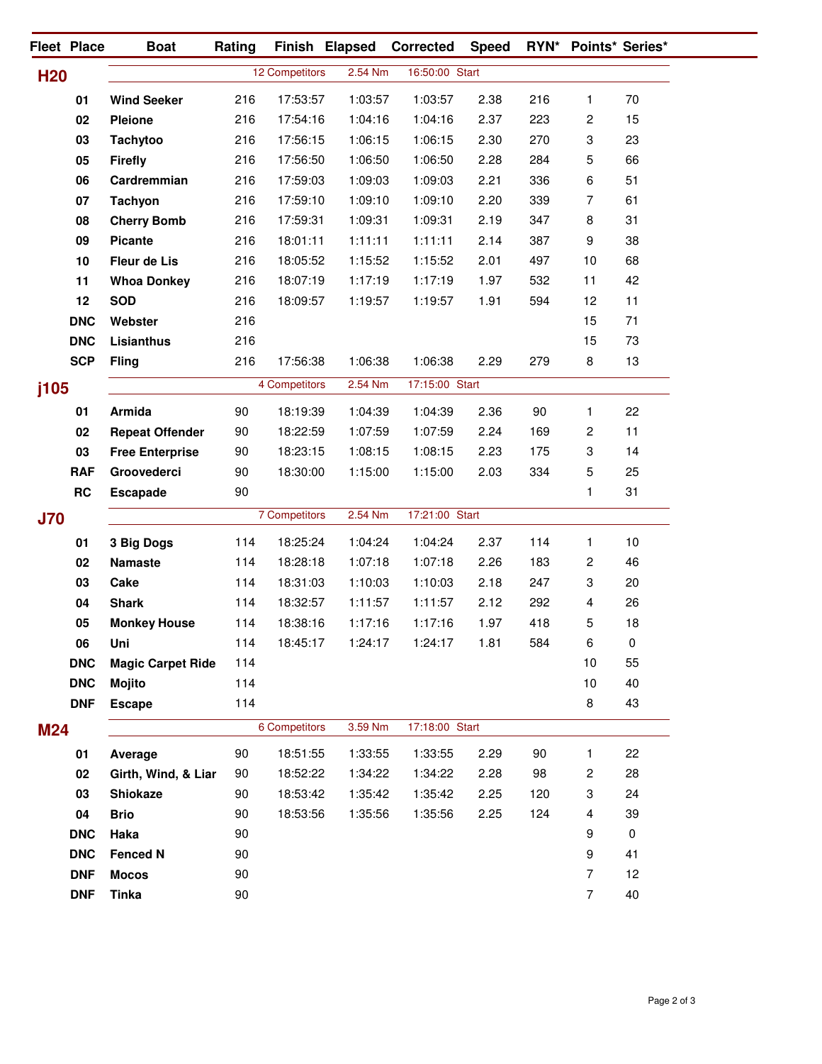|            | Fleet Place | <b>Boat</b>              | Rating |                | Finish Elapsed | <b>Corrected</b>          | <b>Speed</b> |     |                  | RYN* Points* Series* |
|------------|-------------|--------------------------|--------|----------------|----------------|---------------------------|--------------|-----|------------------|----------------------|
| <b>H20</b> |             |                          |        | 12 Competitors |                | 2.54 Nm<br>16:50:00 Start |              |     |                  |                      |
|            | 01          | <b>Wind Seeker</b>       | 216    | 17:53:57       | 1:03:57        | 1:03:57                   | 2.38         | 216 | 1                | 70                   |
|            | 02          | <b>Pleione</b>           | 216    | 17:54:16       | 1:04:16        | 1:04:16                   | 2.37         | 223 | 2                | 15                   |
|            | 03          | <b>Tachytoo</b>          | 216    | 17:56:15       | 1:06:15        | 1:06:15                   | 2.30         | 270 | 3                | 23                   |
|            | 05          | <b>Firefly</b>           | 216    | 17:56:50       | 1:06:50        | 1:06:50                   | 2.28         | 284 | 5                | 66                   |
|            | 06          | Cardremmian              | 216    | 17:59:03       | 1:09:03        | 1:09:03                   | 2.21         | 336 | 6                | 51                   |
|            | 07          | <b>Tachyon</b>           | 216    | 17:59:10       | 1:09:10        | 1:09:10                   | 2.20         | 339 | 7                | 61                   |
|            | 08          | <b>Cherry Bomb</b>       | 216    | 17:59:31       | 1:09:31        | 1:09:31                   | 2.19         | 347 | 8                | 31                   |
|            | 09          | <b>Picante</b>           | 216    | 18:01:11       | 1:11:11        | 1:11:11                   | 2.14         | 387 | $\boldsymbol{9}$ | 38                   |
|            | 10          | Fleur de Lis             | 216    | 18:05:52       | 1:15:52        | 1:15:52                   | 2.01         | 497 | 10               | 68                   |
|            | 11          | <b>Whoa Donkey</b>       | 216    | 18:07:19       | 1:17:19        | 1:17:19                   | 1.97         | 532 | 11               | 42                   |
|            | 12          | <b>SOD</b>               | 216    | 18:09:57       | 1:19:57        | 1:19:57                   | 1.91         | 594 | 12               | 11                   |
|            | <b>DNC</b>  | Webster                  | 216    |                |                |                           |              |     | 15               | 71                   |
|            | <b>DNC</b>  | Lisianthus               | 216    |                |                |                           |              |     | 15               | 73                   |
|            | <b>SCP</b>  | <b>Fling</b>             | 216    | 17:56:38       | 1:06:38        | 1:06:38                   | 2.29         | 279 | 8                | 13                   |
| j105       |             |                          |        | 4 Competitors  | 2.54 Nm        | 17:15:00 Start            |              |     |                  |                      |
|            | 01          | Armida                   | 90     | 18:19:39       | 1:04:39        | 1:04:39                   | 2.36         | 90  | 1                | 22                   |
|            | 02          | <b>Repeat Offender</b>   | 90     | 18:22:59       | 1:07:59        | 1:07:59                   | 2.24         | 169 | 2                | 11                   |
|            | 03          | <b>Free Enterprise</b>   | 90     | 18:23:15       | 1:08:15        | 1:08:15                   | 2.23         | 175 | 3                | 14                   |
|            | <b>RAF</b>  | Groovederci              | 90     | 18:30:00       | 1:15:00        | 1:15:00                   | 2.03         | 334 | 5                | 25                   |
|            | RC          | <b>Escapade</b>          | 90     |                |                |                           |              |     | 1                | 31                   |
| <b>J70</b> |             |                          |        | 7 Competitors  | 2.54 Nm        | 17:21:00 Start            |              |     |                  |                      |
|            | 01          | 3 Big Dogs               | 114    | 18:25:24       | 1:04:24        | 1:04:24                   | 2.37         | 114 | 1                | 10                   |
|            | 02          | <b>Namaste</b>           | 114    | 18:28:18       | 1:07:18        | 1:07:18                   | 2.26         | 183 | 2                | 46                   |
|            | 03          | Cake                     | 114    | 18:31:03       | 1:10:03        | 1:10:03                   | 2.18         | 247 | 3                | 20                   |
|            | 04          | <b>Shark</b>             | 114    | 18:32:57       | 1:11:57        | 1:11:57                   | 2.12         | 292 | 4                | 26                   |
|            | 05          | <b>Monkey House</b>      | 114    | 18:38:16       | 1:17:16        | 1:17:16                   | 1.97         | 418 | 5                | 18                   |
|            | 06          | Uni                      | 114    | 18:45:17       | 1:24:17        | 1:24:17                   | 1.81         | 584 | 6                | 0                    |
|            | <b>DNC</b>  | <b>Magic Carpet Ride</b> | 114    |                |                |                           |              |     | 10               | 55                   |
|            | <b>DNC</b>  | <b>Mojito</b>            | 114    |                |                |                           |              |     | 10               | 40                   |
|            | <b>DNF</b>  | <b>Escape</b>            | 114    |                |                |                           |              |     | 8                | 43                   |
| <b>M24</b> |             |                          |        | 6 Competitors  | 3.59 Nm        | 17:18:00 Start            |              |     |                  |                      |
|            | 01          | Average                  | 90     | 18:51:55       | 1:33:55        | 1:33:55                   | 2.29         | 90  | 1.               | 22                   |
|            | 02          | Girth, Wind, & Liar      | 90     | 18:52:22       | 1:34:22        | 1:34:22                   | 2.28         | 98  | 2                | 28                   |
|            | 03          | <b>Shiokaze</b>          | 90     | 18:53:42       | 1:35:42        | 1:35:42                   | 2.25         | 120 | 3                | 24                   |
|            | 04          | <b>Brio</b>              | 90     | 18:53:56       | 1:35:56        | 1:35:56                   | 2.25         | 124 | 4                | 39                   |
|            | <b>DNC</b>  | Haka                     | 90     |                |                |                           |              |     | 9                | $\pmb{0}$            |
|            | <b>DNC</b>  | <b>Fenced N</b>          | 90     |                |                |                           |              |     | $\boldsymbol{9}$ | 41                   |
|            | <b>DNF</b>  | <b>Mocos</b>             | 90     |                |                |                           |              |     | $\overline{7}$   | 12                   |
|            | <b>DNF</b>  | <b>Tinka</b>             | 90     |                |                |                           |              |     | $\overline{7}$   | 40                   |